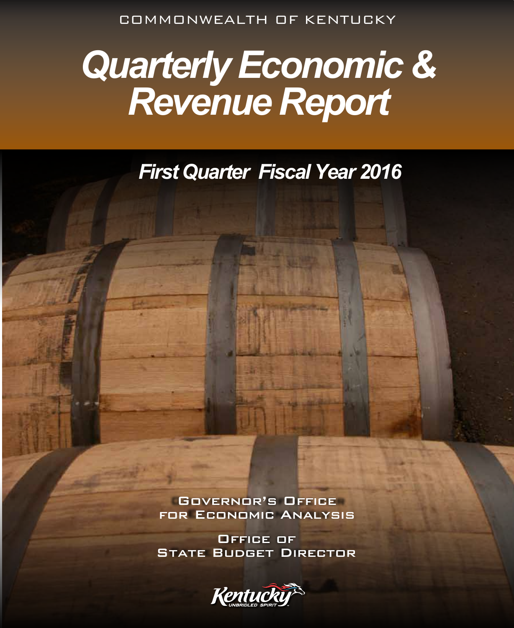COMMONWEALTH OF KENTUCKY

# *Quarterly Economic & Revenue Report*

## *First Quarter Fiscal Year 2016*

Governor's Office for Economic Analysis

Office of **STATE BUDGET DIRECTOR** 

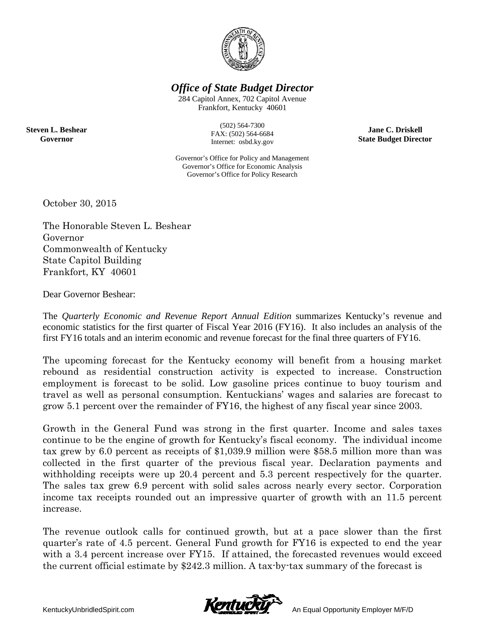

*Office of State Budget Director* 

284 Capitol Annex, 702 Capitol Avenue Frankfort, Kentucky 40601

**Steven L. Beshear Governor** 

(502) 564-7300 FAX: (502) 564-6684 Internet: osbd.ky.gov

Governor's Office for Policy and Management Governor's Office for Economic Analysis Governor's Office for Policy Research

**Jane C. Driskell State Budget Director** 

October 30, 2015

The Honorable Steven L. Beshear Governor Commonwealth of Kentucky State Capitol Building Frankfort, KY 40601

Dear Governor Beshear:

The *Quarterly Economic and Revenue Report Annual Edition* summarizes Kentucky's revenue and economic statistics for the first quarter of Fiscal Year 2016 (FY16). It also includes an analysis of the first FY16 totals and an interim economic and revenue forecast for the final three quarters of FY16.

The upcoming forecast for the Kentucky economy will benefit from a housing market rebound as residential construction activity is expected to increase. Construction employment is forecast to be solid. Low gasoline prices continue to buoy tourism and travel as well as personal consumption. Kentuckians' wages and salaries are forecast to grow 5.1 percent over the remainder of FY16, the highest of any fiscal year since 2003.

Growth in the General Fund was strong in the first quarter. Income and sales taxes continue to be the engine of growth for Kentucky's fiscal economy. The individual income tax grew by 6.0 percent as receipts of \$1,039.9 million were \$58.5 million more than was collected in the first quarter of the previous fiscal year. Declaration payments and withholding receipts were up 20.4 percent and 5.3 percent respectively for the quarter. The sales tax grew 6.9 percent with solid sales across nearly every sector. Corporation income tax receipts rounded out an impressive quarter of growth with an 11.5 percent increase.

The revenue outlook calls for continued growth, but at a pace slower than the first quarter's rate of 4.5 percent. General Fund growth for FY16 is expected to end the year with a 3.4 percent increase over FY15. If attained, the forecasted revenues would exceed the current official estimate by \$242.3 million. A tax-by-tax summary of the forecast is

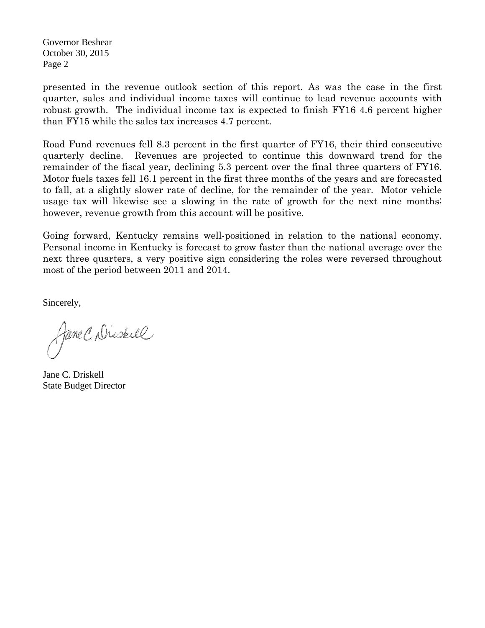Governor Beshear October 30, 2015 Page 2

presented in the revenue outlook section of this report. As was the case in the first quarter, sales and individual income taxes will continue to lead revenue accounts with robust growth. The individual income tax is expected to finish FY16 4.6 percent higher than FY15 while the sales tax increases 4.7 percent.

Road Fund revenues fell 8.3 percent in the first quarter of FY16, their third consecutive quarterly decline. Revenues are projected to continue this downward trend for the remainder of the fiscal year, declining 5.3 percent over the final three quarters of FY16. Motor fuels taxes fell 16.1 percent in the first three months of the years and are forecasted to fall, at a slightly slower rate of decline, for the remainder of the year. Motor vehicle usage tax will likewise see a slowing in the rate of growth for the next nine months; however, revenue growth from this account will be positive.

Going forward, Kentucky remains well-positioned in relation to the national economy. Personal income in Kentucky is forecast to grow faster than the national average over the next three quarters, a very positive sign considering the roles were reversed throughout most of the period between 2011 and 2014.

Sincerely,

Jane C. Dissell

Jane C. Driskell State Budget Director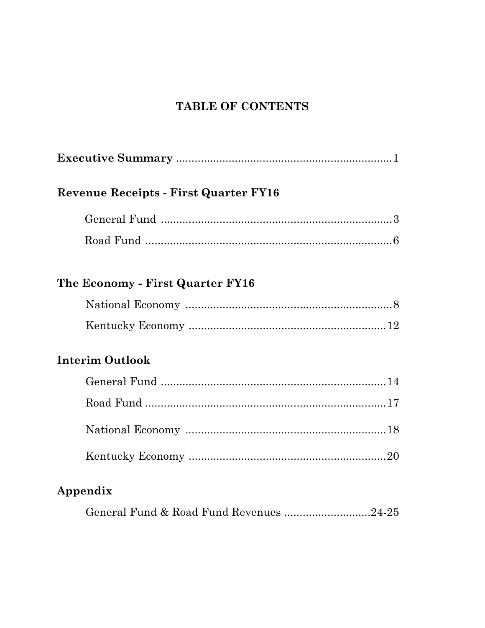## TABLE OF CONTENTS

| <b>Revenue Receipts - First Quarter FY16</b> |  |
|----------------------------------------------|--|
|                                              |  |
|                                              |  |
| The Economy - First Quarter FY16             |  |
|                                              |  |
|                                              |  |
| <b>Interim Outlook</b>                       |  |
|                                              |  |
|                                              |  |
|                                              |  |
|                                              |  |
| Appendix                                     |  |
| General Fund & Road Fund Revenues 24-25      |  |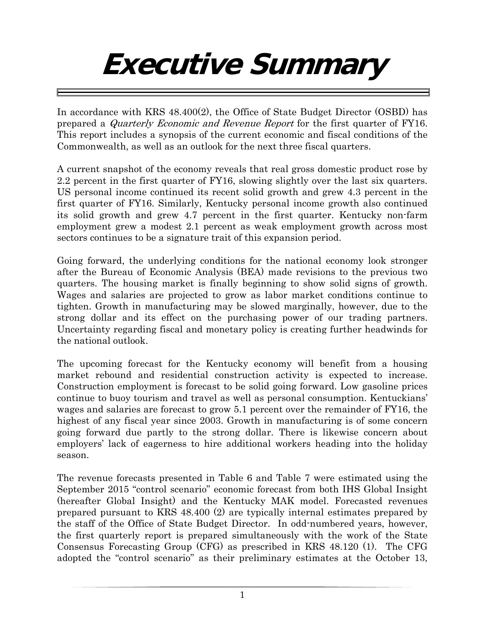# **Executive Summary**

In accordance with KRS 48.400(2), the Office of State Budget Director (OSBD) has prepared a Quarterly Economic and Revenue Report for the first quarter of FY16. This report includes a synopsis of the current economic and fiscal conditions of the Commonwealth, as well as an outlook for the next three fiscal quarters.

A current snapshot of the economy reveals that real gross domestic product rose by 2.2 percent in the first quarter of FY16, slowing slightly over the last six quarters. US personal income continued its recent solid growth and grew 4.3 percent in the first quarter of FY16. Similarly, Kentucky personal income growth also continued its solid growth and grew 4.7 percent in the first quarter. Kentucky non-farm employment grew a modest 2.1 percent as weak employment growth across most sectors continues to be a signature trait of this expansion period.

Going forward, the underlying conditions for the national economy look stronger after the Bureau of Economic Analysis (BEA) made revisions to the previous two quarters. The housing market is finally beginning to show solid signs of growth. Wages and salaries are projected to grow as labor market conditions continue to tighten. Growth in manufacturing may be slowed marginally, however, due to the strong dollar and its effect on the purchasing power of our trading partners. Uncertainty regarding fiscal and monetary policy is creating further headwinds for the national outlook.

The upcoming forecast for the Kentucky economy will benefit from a housing market rebound and residential construction activity is expected to increase. Construction employment is forecast to be solid going forward. Low gasoline prices continue to buoy tourism and travel as well as personal consumption. Kentuckians' wages and salaries are forecast to grow 5.1 percent over the remainder of FY16, the highest of any fiscal year since 2003. Growth in manufacturing is of some concern going forward due partly to the strong dollar. There is likewise concern about employers' lack of eagerness to hire additional workers heading into the holiday season.

The revenue forecasts presented in Table 6 and Table 7 were estimated using the September 2015 "control scenario" economic forecast from both IHS Global Insight (hereafter Global Insight) and the Kentucky MAK model. Forecasted revenues prepared pursuant to KRS 48.400 (2) are typically internal estimates prepared by the staff of the Office of State Budget Director. In odd-numbered years, however, the first quarterly report is prepared simultaneously with the work of the State Consensus Forecasting Group (CFG) as prescribed in KRS 48.120 (1). The CFG adopted the "control scenario" as their preliminary estimates at the October 13,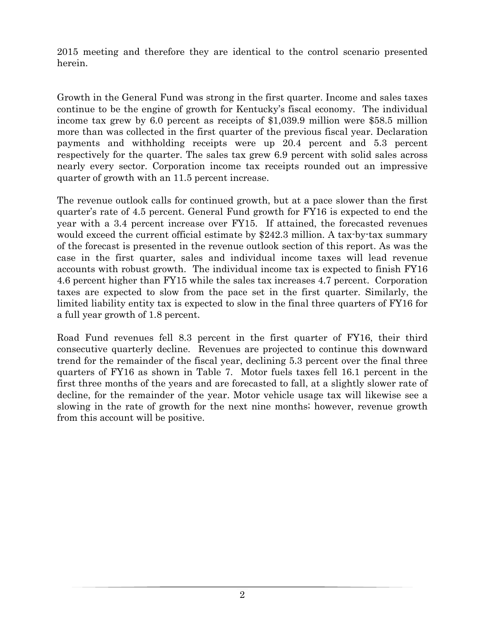2015 meeting and therefore they are identical to the control scenario presented herein.

Growth in the General Fund was strong in the first quarter. Income and sales taxes continue to be the engine of growth for Kentucky's fiscal economy. The individual income tax grew by 6.0 percent as receipts of \$1,039.9 million were \$58.5 million more than was collected in the first quarter of the previous fiscal year. Declaration payments and withholding receipts were up 20.4 percent and 5.3 percent respectively for the quarter. The sales tax grew 6.9 percent with solid sales across nearly every sector. Corporation income tax receipts rounded out an impressive quarter of growth with an 11.5 percent increase.

The revenue outlook calls for continued growth, but at a pace slower than the first quarter's rate of 4.5 percent. General Fund growth for FY16 is expected to end the year with a 3.4 percent increase over FY15. If attained, the forecasted revenues would exceed the current official estimate by \$242.3 million. A tax-by-tax summary of the forecast is presented in the revenue outlook section of this report. As was the case in the first quarter, sales and individual income taxes will lead revenue accounts with robust growth. The individual income tax is expected to finish FY16 4.6 percent higher than FY15 while the sales tax increases 4.7 percent. Corporation taxes are expected to slow from the pace set in the first quarter. Similarly, the limited liability entity tax is expected to slow in the final three quarters of FY16 for a full year growth of 1.8 percent.

Road Fund revenues fell 8.3 percent in the first quarter of FY16, their third consecutive quarterly decline. Revenues are projected to continue this downward trend for the remainder of the fiscal year, declining 5.3 percent over the final three quarters of FY16 as shown in Table 7. Motor fuels taxes fell 16.1 percent in the first three months of the years and are forecasted to fall, at a slightly slower rate of decline, for the remainder of the year. Motor vehicle usage tax will likewise see a slowing in the rate of growth for the next nine months; however, revenue growth from this account will be positive.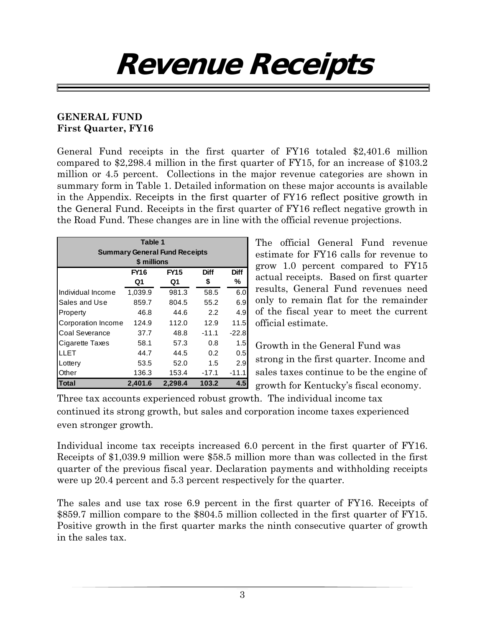## **Revenue Receipts**

### **GENERAL FUND First Quarter, FY16**

General Fund receipts in the first quarter of FY16 totaled \$2,401.6 million compared to \$2,298.4 million in the first quarter of FY15, for an increase of \$103.2 million or 4.5 percent. Collections in the major revenue categories are shown in summary form in Table 1. Detailed information on these major accounts is available in the Appendix. Receipts in the first quarter of FY16 reflect positive growth in the General Fund. Receipts in the first quarter of FY16 reflect negative growth in the Road Fund. These changes are in line with the official revenue projections.

|                       | Table 1     |                                      |         |             |  |  |  |
|-----------------------|-------------|--------------------------------------|---------|-------------|--|--|--|
|                       |             | <b>Summary General Fund Receipts</b> |         |             |  |  |  |
|                       | \$ millions |                                      |         |             |  |  |  |
|                       | <b>FY16</b> | <b>FY15</b>                          | Diff    | <b>Diff</b> |  |  |  |
|                       | Q1          | Q1                                   | \$      | ℅           |  |  |  |
| Individual Income     | 1,039.9     | 981.3                                | 58.5    | 6.0         |  |  |  |
| Sales and Use         | 859.7       | 804.5                                | 55.2    | 6.9         |  |  |  |
| Property              | 46.8        | 44.6                                 | 2.2     | 4.9         |  |  |  |
| Corporation Income    | 124.9       | 112.0                                | 12.9    | 11.5        |  |  |  |
| <b>Coal Severance</b> | 37.7        | 48.8                                 | $-11.1$ | $-22.8$     |  |  |  |
| Cigarette Taxes       | 58.1        | 57.3                                 | 0.8     | 1.5         |  |  |  |
| LLET                  | 44.7        | 44.5                                 | 0.2     | 0.5         |  |  |  |
| Lottery               | 53.5        | 52.0                                 | 1.5     | 2.9         |  |  |  |
| Other                 | 136.3       | 153.4                                | $-17.1$ | $-11.1$     |  |  |  |
| <b>Total</b>          | 2.401.6     | 2,298.4                              | 103.2   | 4.5         |  |  |  |

The official General Fund revenue estimate for FY16 calls for revenue to grow 1.0 percent compared to FY15 actual receipts. Based on first quarter results, General Fund revenues need only to remain flat for the remainder of the fiscal year to meet the current official estimate.

Growth in the General Fund was strong in the first quarter. Income and sales taxes continue to be the engine of growth for Kentucky's fiscal economy.

Three tax accounts experienced robust growth. The individual income tax continued its strong growth, but sales and corporation income taxes experienced even stronger growth.

Individual income tax receipts increased 6.0 percent in the first quarter of FY16. Receipts of \$1,039.9 million were \$58.5 million more than was collected in the first quarter of the previous fiscal year. Declaration payments and withholding receipts were up 20.4 percent and 5.3 percent respectively for the quarter.

The sales and use tax rose 6.9 percent in the first quarter of FY16. Receipts of \$859.7 million compare to the \$804.5 million collected in the first quarter of FY15. Positive growth in the first quarter marks the ninth consecutive quarter of growth in the sales tax.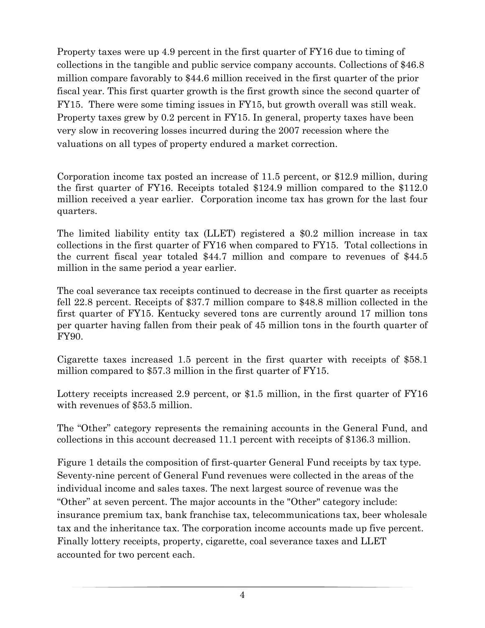Property taxes were up 4.9 percent in the first quarter of FY16 due to timing of collections in the tangible and public service company accounts. Collections of \$46.8 million compare favorably to \$44.6 million received in the first quarter of the prior fiscal year. This first quarter growth is the first growth since the second quarter of FY15. There were some timing issues in FY15, but growth overall was still weak. Property taxes grew by 0.2 percent in FY15. In general, property taxes have been very slow in recovering losses incurred during the 2007 recession where the valuations on all types of property endured a market correction.

Corporation income tax posted an increase of 11.5 percent, or \$12.9 million, during the first quarter of FY16. Receipts totaled \$124.9 million compared to the \$112.0 million received a year earlier. Corporation income tax has grown for the last four quarters.

The limited liability entity tax (LLET) registered a \$0.2 million increase in tax collections in the first quarter of FY16 when compared to FY15. Total collections in the current fiscal year totaled \$44.7 million and compare to revenues of \$44.5 million in the same period a year earlier.

The coal severance tax receipts continued to decrease in the first quarter as receipts fell 22.8 percent. Receipts of \$37.7 million compare to \$48.8 million collected in the first quarter of FY15. Kentucky severed tons are currently around 17 million tons per quarter having fallen from their peak of 45 million tons in the fourth quarter of FY90.

Cigarette taxes increased 1.5 percent in the first quarter with receipts of \$58.1 million compared to \$57.3 million in the first quarter of FY15.

Lottery receipts increased 2.9 percent, or \$1.5 million, in the first quarter of FY16 with revenues of \$53.5 million.

The "Other" category represents the remaining accounts in the General Fund, and collections in this account decreased 11.1 percent with receipts of \$136.3 million.

Figure 1 details the composition of first-quarter General Fund receipts by tax type. Seventy-nine percent of General Fund revenues were collected in the areas of the individual income and sales taxes. The next largest source of revenue was the "Other" at seven percent. The major accounts in the "Other" category include: insurance premium tax, bank franchise tax, telecommunications tax, beer wholesale tax and the inheritance tax. The corporation income accounts made up five percent. Finally lottery receipts, property, cigarette, coal severance taxes and LLET accounted for two percent each.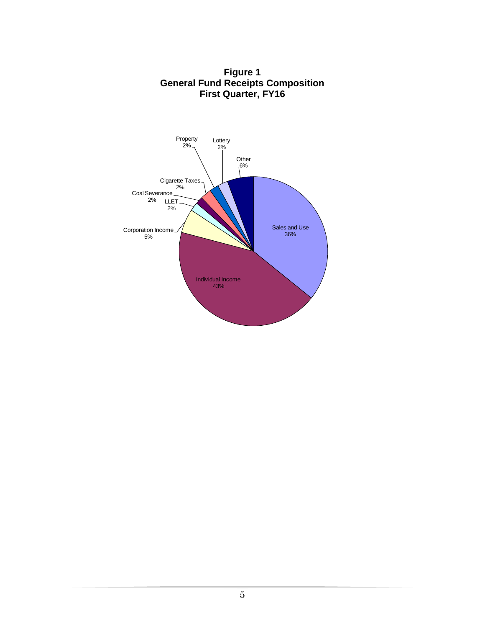

**Figure 1 General Fund Receipts Composition First Quarter, FY16**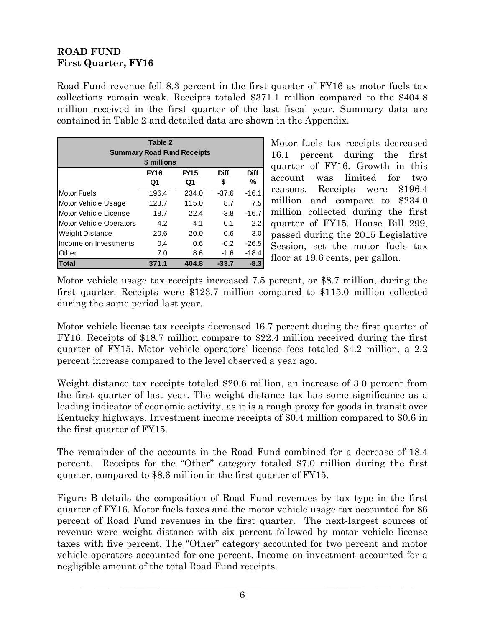### **ROAD FUND First Quarter, FY16**

Road Fund revenue fell 8.3 percent in the first quarter of FY16 as motor fuels tax collections remain weak. Receipts totaled \$371.1 million compared to the \$404.8 million received in the first quarter of the last fiscal year. Summary data are contained in Table 2 and detailed data are shown in the Appendix.

| Table 2                        |                                   |             |             |             |  |  |  |
|--------------------------------|-----------------------------------|-------------|-------------|-------------|--|--|--|
|                                | <b>Summary Road Fund Receipts</b> |             |             |             |  |  |  |
|                                | \$ millions                       |             |             |             |  |  |  |
|                                | <b>FY16</b>                       | <b>FY15</b> | <b>Diff</b> | <b>Diff</b> |  |  |  |
|                                | Q1                                | Q1          | \$          | %           |  |  |  |
| <b>Motor Fuels</b>             | 196.4                             | 234.0       | $-37.6$     | $-16.1$     |  |  |  |
| Motor Vehicle Usage            | 123.7                             | 115.0       | 8.7         | 7.5         |  |  |  |
| Motor Vehicle License          | 18.7                              | 22.4        | $-3.8$      | $-16.7$     |  |  |  |
| <b>Motor Vehicle Operators</b> | 4.2                               | 4.1         | 0.1         | 2.2         |  |  |  |
| <b>Weight Distance</b>         | 20.6                              | 20.0        | 0.6         | 3.0         |  |  |  |
| Income on Investments          | 0.4                               | 0.6         | $-0.2$      | $-26.5$     |  |  |  |
| Other                          | 7.0                               | 8.6         | $-1.6$      | $-18.4$     |  |  |  |
| Total                          | 371.1                             | 404.8       | -33.7       | -8.3        |  |  |  |

Motor fuels tax receipts decreased 16.1 percent during the first quarter of FY16. Growth in this account was limited for two reasons. Receipts were \$196.4 million and compare to \$234.0 million collected during the first quarter of FY15. House Bill 299, passed during the 2015 Legislative Session, set the motor fuels tax floor at 19.6 cents, per gallon.

Motor vehicle usage tax receipts increased 7.5 percent, or \$8.7 million, during the first quarter. Receipts were \$123.7 million compared to \$115.0 million collected during the same period last year.

Motor vehicle license tax receipts decreased 16.7 percent during the first quarter of FY16. Receipts of \$18.7 million compare to \$22.4 million received during the first quarter of FY15. Motor vehicle operators' license fees totaled \$4.2 million, a 2.2 percent increase compared to the level observed a year ago.

Weight distance tax receipts totaled \$20.6 million, an increase of 3.0 percent from the first quarter of last year. The weight distance tax has some significance as a leading indicator of economic activity, as it is a rough proxy for goods in transit over Kentucky highways. Investment income receipts of \$0.4 million compared to \$0.6 in the first quarter of FY15.

The remainder of the accounts in the Road Fund combined for a decrease of 18.4 percent. Receipts for the "Other" category totaled \$7.0 million during the first quarter, compared to \$8.6 million in the first quarter of FY15.

Figure B details the composition of Road Fund revenues by tax type in the first quarter of FY16. Motor fuels taxes and the motor vehicle usage tax accounted for 86 percent of Road Fund revenues in the first quarter. The next-largest sources of revenue were weight distance with six percent followed by motor vehicle license taxes with five percent. The "Other" category accounted for two percent and motor vehicle operators accounted for one percent. Income on investment accounted for a negligible amount of the total Road Fund receipts.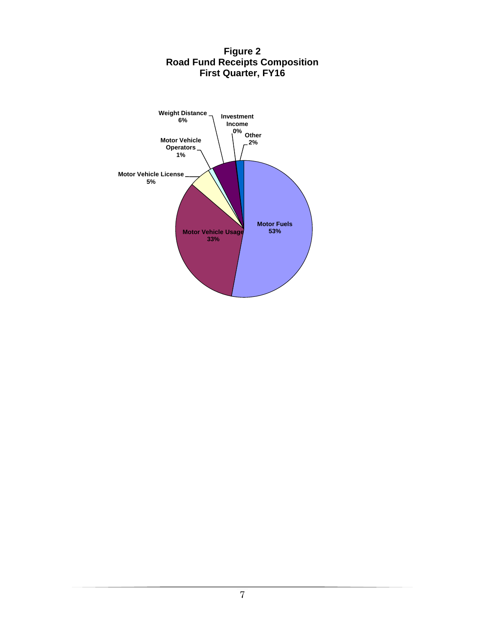

#### **Figure 2 Road Fund Receipts Composition First Quarter, FY16**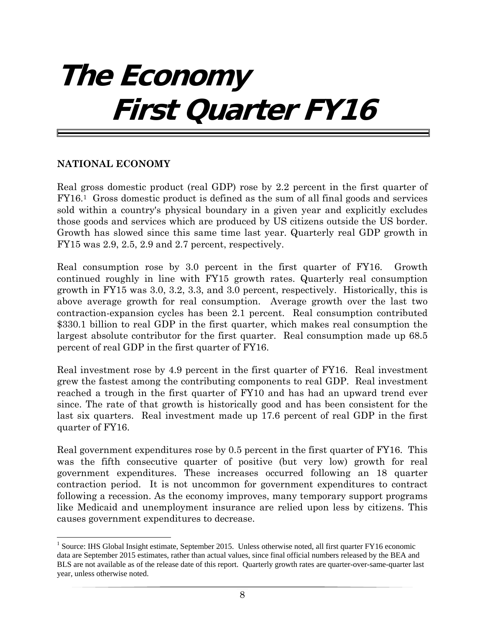## **The Economy First Quarter FY16**

#### **NATIONAL ECONOMY**

Real gross domestic product (real GDP) rose by 2.2 percent in the first quarter of FY16.1 Gross domestic product is defined as the sum of all final goods and services sold within a country's physical boundary in a given year and explicitly excludes those goods and services which are produced by US citizens outside the US border. Growth has slowed since this same time last year. Quarterly real GDP growth in FY15 was 2.9, 2.5, 2.9 and 2.7 percent, respectively.

Real consumption rose by 3.0 percent in the first quarter of FY16. Growth continued roughly in line with FY15 growth rates. Quarterly real consumption growth in FY15 was 3.0, 3.2, 3.3, and 3.0 percent, respectively. Historically, this is above average growth for real consumption. Average growth over the last two contraction-expansion cycles has been 2.1 percent. Real consumption contributed \$330.1 billion to real GDP in the first quarter, which makes real consumption the largest absolute contributor for the first quarter. Real consumption made up 68.5 percent of real GDP in the first quarter of FY16.

Real investment rose by 4.9 percent in the first quarter of FY16. Real investment grew the fastest among the contributing components to real GDP. Real investment reached a trough in the first quarter of FY10 and has had an upward trend ever since. The rate of that growth is historically good and has been consistent for the last six quarters. Real investment made up 17.6 percent of real GDP in the first quarter of FY16.

Real government expenditures rose by 0.5 percent in the first quarter of FY16. This was the fifth consecutive quarter of positive (but very low) growth for real government expenditures. These increases occurred following an 18 quarter contraction period. It is not uncommon for government expenditures to contract following a recession. As the economy improves, many temporary support programs like Medicaid and unemployment insurance are relied upon less by citizens. This causes government expenditures to decrease.

 <sup>1</sup> Source: IHS Global Insight estimate, September 2015. Unless otherwise noted, all first quarter FY16 economic data are September 2015 estimates, rather than actual values, since final official numbers released by the BEA and BLS are not available as of the release date of this report. Quarterly growth rates are quarter-over-same-quarter last year, unless otherwise noted.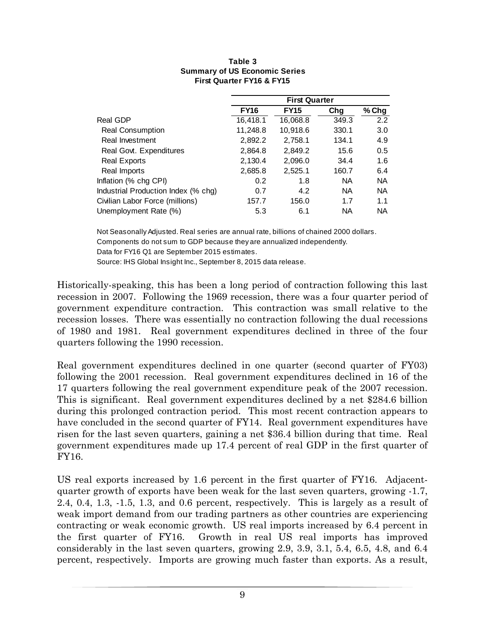|                                     | <b>First Quarter</b> |             |           |           |  |
|-------------------------------------|----------------------|-------------|-----------|-----------|--|
|                                     | <b>FY16</b>          | <b>FY15</b> | Chg       | $%$ Chg   |  |
| Real GDP                            | 16,418.1             | 16,068.8    | 349.3     | 2.2       |  |
| <b>Real Consumption</b>             | 11,248.8             | 10,918.6    | 330.1     | 3.0       |  |
| Real Investment                     | 2,892.2              | 2,758.1     | 134.1     | 4.9       |  |
| Real Govt. Expenditures             | 2,864.8              | 2,849.2     | 15.6      | 0.5       |  |
| <b>Real Exports</b>                 | 2,130.4              | 2,096.0     | 34.4      | 1.6       |  |
| Real Imports                        | 2,685.8              | 2,525.1     | 160.7     | 6.4       |  |
| Inflation (% chg CPI)               | 0.2                  | 1.8         | <b>NA</b> | <b>NA</b> |  |
| Industrial Production Index (% chg) | 0.7                  | 4.2         | <b>NA</b> | <b>NA</b> |  |
| Civilian Labor Force (millions)     | 157.7                | 156.0       | 1.7       | 1.1       |  |
| Unemployment Rate (%)               | 5.3                  | 6.1         | <b>NA</b> | <b>NA</b> |  |

#### **Table 3 Summary of US Economic Series First Quarter FY16 & FY15**

Not Seasonally Adjusted. Real series are annual rate, billions of chained 2000 dollars. Components do not sum to GDP because they are annualized independently. Data for FY16 Q1 are September 2015 estimates.

Source: IHS Global Insight Inc., September 8, 2015 data release.

Historically-speaking, this has been a long period of contraction following this last recession in 2007. Following the 1969 recession, there was a four quarter period of government expenditure contraction. This contraction was small relative to the recession losses. There was essentially no contraction following the dual recessions of 1980 and 1981. Real government expenditures declined in three of the four quarters following the 1990 recession.

Real government expenditures declined in one quarter (second quarter of FY03) following the 2001 recession. Real government expenditures declined in 16 of the 17 quarters following the real government expenditure peak of the 2007 recession. This is significant. Real government expenditures declined by a net \$284.6 billion during this prolonged contraction period. This most recent contraction appears to have concluded in the second quarter of FY14. Real government expenditures have risen for the last seven quarters, gaining a net \$36.4 billion during that time. Real government expenditures made up 17.4 percent of real GDP in the first quarter of FY16.

US real exports increased by 1.6 percent in the first quarter of FY16. Adjacentquarter growth of exports have been weak for the last seven quarters, growing -1.7, 2.4, 0.4, 1.3, -1.5, 1.3, and 0.6 percent, respectively. This is largely as a result of weak import demand from our trading partners as other countries are experiencing contracting or weak economic growth. US real imports increased by 6.4 percent in the first quarter of FY16. Growth in real US real imports has improved considerably in the last seven quarters, growing 2.9, 3.9, 3.1, 5.4, 6.5, 4.8, and 6.4 percent, respectively. Imports are growing much faster than exports. As a result,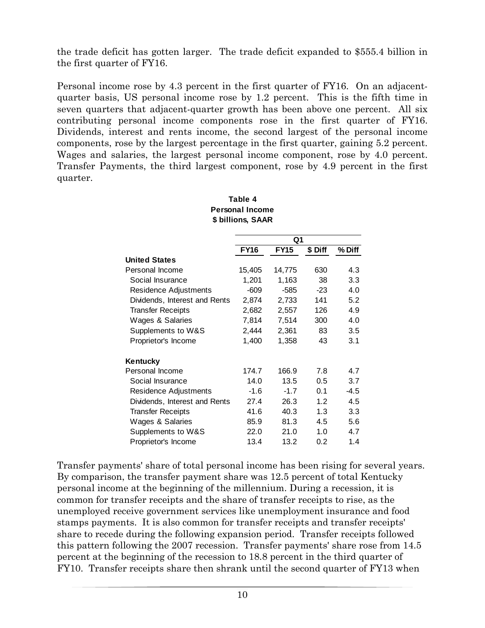the trade deficit has gotten larger. The trade deficit expanded to \$555.4 billion in the first quarter of FY16.

Personal income rose by 4.3 percent in the first quarter of FY16. On an adjacentquarter basis, US personal income rose by 1.2 percent. This is the fifth time in seven quarters that adjacent-quarter growth has been above one percent. All six contributing personal income components rose in the first quarter of FY16. Dividends, interest and rents income, the second largest of the personal income components, rose by the largest percentage in the first quarter, gaining 5.2 percent. Wages and salaries, the largest personal income component, rose by 4.0 percent. Transfer Payments, the third largest component, rose by 4.9 percent in the first quarter.

|                               | Q1          |             |         |        |  |
|-------------------------------|-------------|-------------|---------|--------|--|
|                               | <b>FY16</b> | <b>FY15</b> | \$ Diff | % Diff |  |
| <b>United States</b>          |             |             |         |        |  |
| Personal Income               | 15,405      | 14,775      | 630     | 4.3    |  |
| Social Insurance              | 1,201       | 1,163       | 38      | 3.3    |  |
| Residence Adjustments         | $-609$      | $-585$      | $-23$   | 4.0    |  |
| Dividends, Interest and Rents | 2,874       | 2,733       | 141     | 5.2    |  |
| <b>Transfer Receipts</b>      | 2,682       | 2,557       | 126     | 4.9    |  |
| Wages & Salaries              | 7,814       | 7,514       | 300     | 4.0    |  |
| Supplements to W&S            | 2,444       | 2,361       | 83      | 3.5    |  |
| Proprietor's Income           | 1,400       | 1,358       | 43      | 3.1    |  |
| Kentucky                      |             |             |         |        |  |
| Personal Income               | 174.7       | 166.9       | 7.8     | 4.7    |  |
| Social Insurance              | 14.0        | 13.5        | 0.5     | 3.7    |  |
| Residence Adjustments         | $-1.6$      | $-1.7$      | 0.1     | $-4.5$ |  |
| Dividends, Interest and Rents | 27.4        | 26.3        | 1.2     | 4.5    |  |
| <b>Transfer Receipts</b>      | 41.6        | 40.3        | 1.3     | 3.3    |  |
| Wages & Salaries              | 85.9        | 81.3        | 4.5     | 5.6    |  |
| Supplements to W&S            | 22.0        | 21.0        | 1.0     | 4.7    |  |
| Proprietor's Income           | 13.4        | 13.2        | 0.2     | 1.4    |  |

#### **Table 4 Personal Income \$ billions, SAAR**

Transfer payments' share of total personal income has been rising for several years. By comparison, the transfer payment share was 12.5 percent of total Kentucky personal income at the beginning of the millennium. During a recession, it is common for transfer receipts and the share of transfer receipts to rise, as the unemployed receive government services like unemployment insurance and food stamps payments. It is also common for transfer receipts and transfer receipts' share to recede during the following expansion period. Transfer receipts followed this pattern following the 2007 recession. Transfer payments' share rose from 14.5 percent at the beginning of the recession to 18.8 percent in the third quarter of FY10. Transfer receipts share then shrank until the second quarter of FY13 when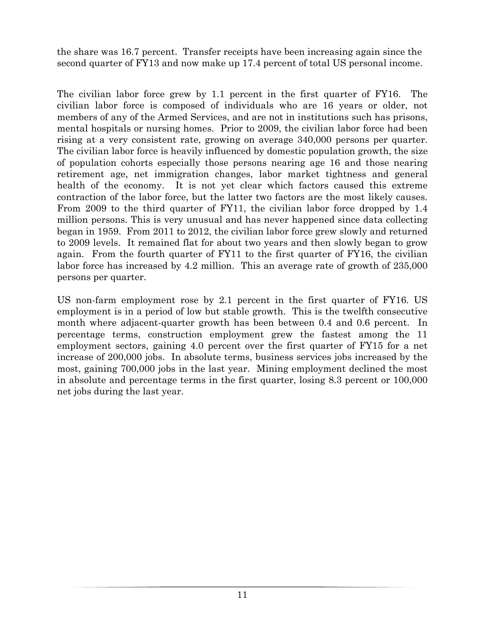the share was 16.7 percent. Transfer receipts have been increasing again since the second quarter of FY13 and now make up 17.4 percent of total US personal income.

The civilian labor force grew by 1.1 percent in the first quarter of FY16. The civilian labor force is composed of individuals who are 16 years or older, not members of any of the Armed Services, and are not in institutions such has prisons, mental hospitals or nursing homes. Prior to 2009, the civilian labor force had been rising at a very consistent rate, growing on average 340,000 persons per quarter. The civilian labor force is heavily influenced by domestic population growth, the size of population cohorts especially those persons nearing age 16 and those nearing retirement age, net immigration changes, labor market tightness and general health of the economy. It is not yet clear which factors caused this extreme contraction of the labor force, but the latter two factors are the most likely causes. From 2009 to the third quarter of FY11, the civilian labor force dropped by 1.4 million persons. This is very unusual and has never happened since data collecting began in 1959. From 2011 to 2012, the civilian labor force grew slowly and returned to 2009 levels. It remained flat for about two years and then slowly began to grow again. From the fourth quarter of FY11 to the first quarter of FY16, the civilian labor force has increased by 4.2 million. This an average rate of growth of 235,000 persons per quarter.

US non-farm employment rose by 2.1 percent in the first quarter of FY16. US employment is in a period of low but stable growth. This is the twelfth consecutive month where adjacent-quarter growth has been between 0.4 and 0.6 percent. In percentage terms, construction employment grew the fastest among the 11 employment sectors, gaining 4.0 percent over the first quarter of FY15 for a net increase of 200,000 jobs. In absolute terms, business services jobs increased by the most, gaining 700,000 jobs in the last year. Mining employment declined the most in absolute and percentage terms in the first quarter, losing 8.3 percent or 100,000 net jobs during the last year.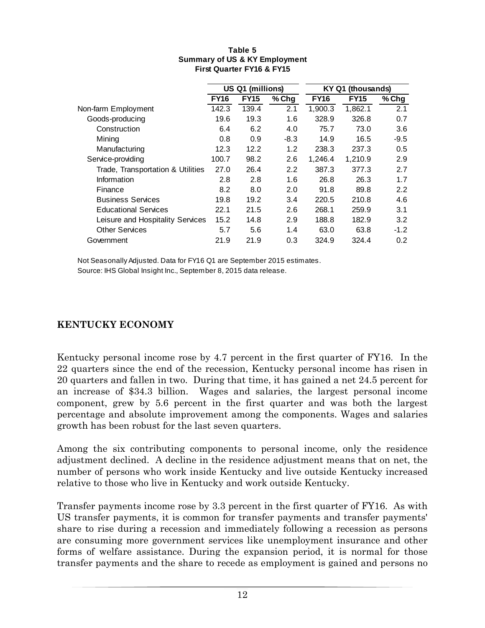| US Q1 (millions) |             |        |             | (thousands) |                  |
|------------------|-------------|--------|-------------|-------------|------------------|
| <b>FY16</b>      | <b>FY15</b> | % Chg  | <b>FY16</b> | <b>FY15</b> | $%$ Chg          |
| 142.3            | 139.4       | 2.1    | 1,900.3     | 1,862.1     | 2.1              |
| 19.6             | 19.3        | 1.6    | 328.9       | 326.8       | 0.7              |
| 6.4              | 6.2         | 4.0    | 75.7        | 73.0        | 3.6              |
| 0.8              | 0.9         | $-8.3$ | 14.9        | 16.5        | $-9.5$           |
| 12.3             | 12.2        | 1.2    | 238.3       | 237.3       | 0.5              |
| 100.7            | 98.2        | 2.6    | 1.246.4     | 1,210.9     | 2.9              |
| 27.0             | 26.4        | 2.2    | 387.3       | 377.3       | 2.7              |
| 2.8              | 2.8         | 1.6    | 26.8        | 26.3        | 1.7              |
| 8.2              | 8.0         | 2.0    | 91.8        | 89.8        | 2.2              |
| 19.8             | 19.2        | 3.4    | 220.5       | 210.8       | 4.6              |
| 22.1             | 21.5        | 2.6    | 268.1       | 259.9       | 3.1              |
| 15.2             | 14.8        | 2.9    | 188.8       | 182.9       | 3.2              |
| 5.7              | 5.6         | 1.4    | 63.0        | 63.8        | $-1.2$           |
| 21.9             | 21.9        | 0.3    | 324.9       | 324.4       | 0.2 <sub>0</sub> |
|                  |             |        |             |             | <b>KY Q1</b>     |

#### **First Quarter FY16 & FY15 Table 5 Summary of US & KY Employment**

Not Seasonally Adjusted. Data for FY16 Q1 are September 2015 estimates. Source: IHS Global Insight Inc., September 8, 2015 data release.

### **KENTUCKY ECONOMY**

Kentucky personal income rose by 4.7 percent in the first quarter of FY16. In the 22 quarters since the end of the recession, Kentucky personal income has risen in 20 quarters and fallen in two. During that time, it has gained a net 24.5 percent for an increase of \$34.3 billion. Wages and salaries, the largest personal income component, grew by 5.6 percent in the first quarter and was both the largest percentage and absolute improvement among the components. Wages and salaries growth has been robust for the last seven quarters.

Among the six contributing components to personal income, only the residence adjustment declined. A decline in the residence adjustment means that on net, the number of persons who work inside Kentucky and live outside Kentucky increased relative to those who live in Kentucky and work outside Kentucky.

Transfer payments income rose by 3.3 percent in the first quarter of FY16. As with US transfer payments, it is common for transfer payments and transfer payments' share to rise during a recession and immediately following a recession as persons are consuming more government services like unemployment insurance and other forms of welfare assistance. During the expansion period, it is normal for those transfer payments and the share to recede as employment is gained and persons no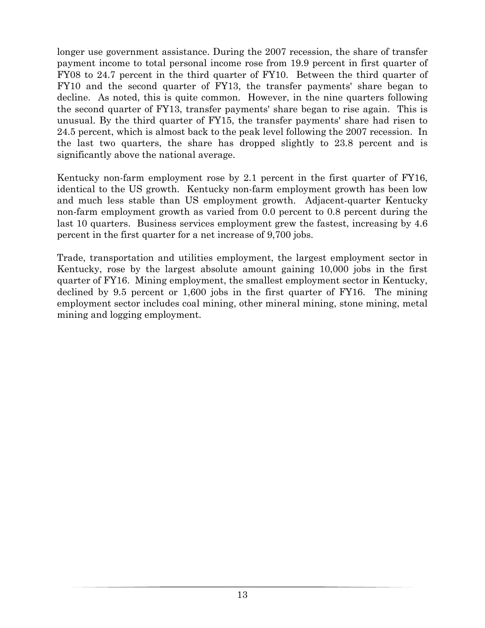longer use government assistance. During the 2007 recession, the share of transfer payment income to total personal income rose from 19.9 percent in first quarter of FY08 to 24.7 percent in the third quarter of FY10. Between the third quarter of FY10 and the second quarter of FY13, the transfer payments' share began to decline. As noted, this is quite common. However, in the nine quarters following the second quarter of FY13, transfer payments' share began to rise again. This is unusual. By the third quarter of FY15, the transfer payments' share had risen to 24.5 percent, which is almost back to the peak level following the 2007 recession. In the last two quarters, the share has dropped slightly to 23.8 percent and is significantly above the national average.

Kentucky non-farm employment rose by 2.1 percent in the first quarter of FY16, identical to the US growth. Kentucky non-farm employment growth has been low and much less stable than US employment growth. Adjacent-quarter Kentucky non-farm employment growth as varied from 0.0 percent to 0.8 percent during the last 10 quarters. Business services employment grew the fastest, increasing by 4.6 percent in the first quarter for a net increase of 9,700 jobs.

Trade, transportation and utilities employment, the largest employment sector in Kentucky, rose by the largest absolute amount gaining 10,000 jobs in the first quarter of FY16. Mining employment, the smallest employment sector in Kentucky, declined by 9.5 percent or 1,600 jobs in the first quarter of FY16. The mining employment sector includes coal mining, other mineral mining, stone mining, metal mining and logging employment.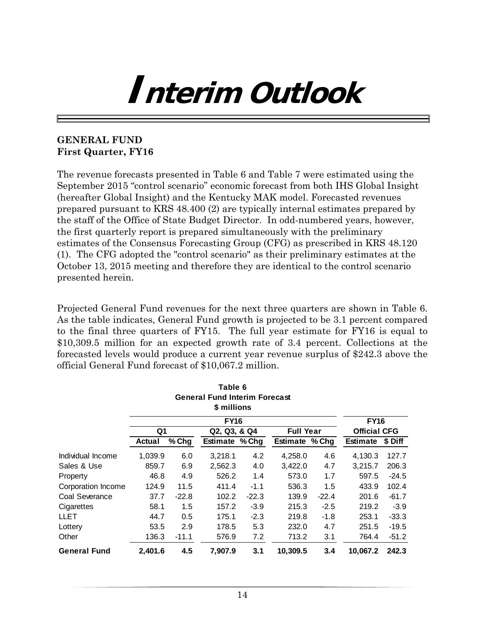# **Interim Outlook**

#### **GENERAL FUND First Quarter, FY16**

The revenue forecasts presented in Table 6 and Table 7 were estimated using the September 2015 "control scenario" economic forecast from both IHS Global Insight (hereafter Global Insight) and the Kentucky MAK model. Forecasted revenues prepared pursuant to KRS 48.400 (2) are typically internal estimates prepared by the staff of the Office of State Budget Director. In odd-numbered years, however, the first quarterly report is prepared simultaneously with the preliminary estimates of the Consensus Forecasting Group (CFG) as prescribed in KRS 48.120 (1). The CFG adopted the "control scenario" as their preliminary estimates at the October 13, 2015 meeting and therefore they are identical to the control scenario presented herein.

Projected General Fund revenues for the next three quarters are shown in Table 6. As the table indicates, General Fund growth is projected to be 3.1 percent compared to the final three quarters of FY15. The full year estimate for FY16 is equal to \$10,309.5 million for an expected growth rate of 3.4 percent. Collections at the forecasted levels would produce a current year revenue surplus of \$242.3 above the official General Fund forecast of \$10,067.2 million.

|                     |         |         | Table 6                              |         |                  |         |                     |         |
|---------------------|---------|---------|--------------------------------------|---------|------------------|---------|---------------------|---------|
|                     |         |         | <b>General Fund Interim Forecast</b> |         |                  |         |                     |         |
|                     |         |         | \$ millions                          |         |                  |         |                     |         |
|                     |         |         | <b>FY16</b>                          |         |                  |         | <b>FY16</b>         |         |
|                     | Q1      |         | Q2, Q3, & Q4                         |         | <b>Full Year</b> |         | <b>Official CFG</b> |         |
|                     | Actual  | % Chg   | <b>Estimate % Chg</b>                |         | Estimate % Chg   |         | <b>Estimate</b>     | \$ Diff |
| Individual Income   | 1,039.9 | 6.0     | 3,218.1                              | 4.2     | 4,258.0          | 4.6     | 4,130.3             | 127.7   |
| Sales & Use         | 859.7   | 6.9     | 2,562.3                              | 4.0     | 3,422.0          | 4.7     | 3,215.7             | 206.3   |
| Property            | 46.8    | 4.9     | 526.2                                | 1.4     | 573.0            | 1.7     | 597.5               | $-24.5$ |
| Corporation Income  | 124.9   | 11.5    | 411.4                                | $-1.1$  | 536.3            | 1.5     | 433.9               | 102.4   |
| Coal Severance      | 37.7    | $-22.8$ | 102.2                                | $-22.3$ | 139.9            | $-22.4$ | 201.6               | $-61.7$ |
| Cigarettes          | 58.1    | $1.5\,$ | 157.2                                | $-3.9$  | 215.3            | $-2.5$  | 219.2               | $-3.9$  |
| LLET                | 44.7    | 0.5     | 175.1                                | $-2.3$  | 219.8            | -1.8    | 253.1               | $-33.3$ |
| Lottery             | 53.5    | 2.9     | 178.5                                | 5.3     | 232.0            | 4.7     | 251.5               | $-19.5$ |
| Other               | 136.3   | $-11.1$ | 576.9                                | 7.2     | 713.2            | 3.1     | 764.4               | $-51.2$ |
| <b>General Fund</b> | 2,401.6 | 4.5     | 7,907.9                              | 3.1     | 10,309.5         | 3.4     | 10,067.2            | 242.3   |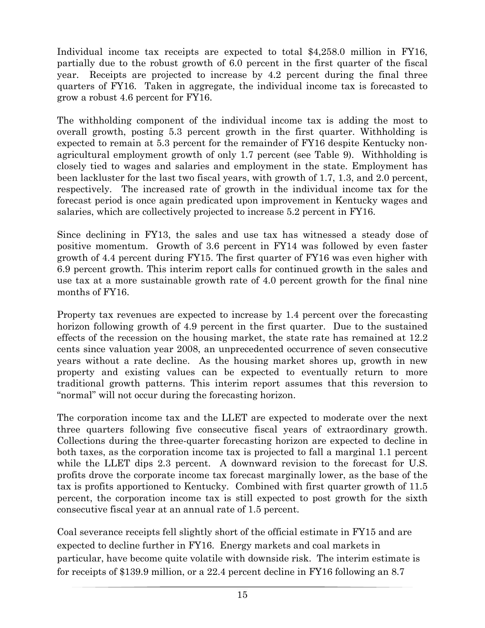Individual income tax receipts are expected to total \$4,258.0 million in FY16, partially due to the robust growth of 6.0 percent in the first quarter of the fiscal year. Receipts are projected to increase by 4.2 percent during the final three quarters of FY16. Taken in aggregate, the individual income tax is forecasted to grow a robust 4.6 percent for FY16.

The withholding component of the individual income tax is adding the most to overall growth, posting 5.3 percent growth in the first quarter. Withholding is expected to remain at 5.3 percent for the remainder of FY16 despite Kentucky nonagricultural employment growth of only 1.7 percent (see Table 9). Withholding is closely tied to wages and salaries and employment in the state. Employment has been lackluster for the last two fiscal years, with growth of 1.7, 1.3, and 2.0 percent, respectively. The increased rate of growth in the individual income tax for the forecast period is once again predicated upon improvement in Kentucky wages and salaries, which are collectively projected to increase 5.2 percent in FY16.

Since declining in FY13, the sales and use tax has witnessed a steady dose of positive momentum. Growth of 3.6 percent in FY14 was followed by even faster growth of 4.4 percent during FY15. The first quarter of FY16 was even higher with 6.9 percent growth. This interim report calls for continued growth in the sales and use tax at a more sustainable growth rate of 4.0 percent growth for the final nine months of FY16.

Property tax revenues are expected to increase by 1.4 percent over the forecasting horizon following growth of 4.9 percent in the first quarter. Due to the sustained effects of the recession on the housing market, the state rate has remained at 12.2 cents since valuation year 2008, an unprecedented occurrence of seven consecutive years without a rate decline. As the housing market shores up, growth in new property and existing values can be expected to eventually return to more traditional growth patterns. This interim report assumes that this reversion to "normal" will not occur during the forecasting horizon.

The corporation income tax and the LLET are expected to moderate over the next three quarters following five consecutive fiscal years of extraordinary growth. Collections during the three-quarter forecasting horizon are expected to decline in both taxes, as the corporation income tax is projected to fall a marginal 1.1 percent while the LLET dips 2.3 percent. A downward revision to the forecast for U.S. profits drove the corporate income tax forecast marginally lower, as the base of the tax is profits apportioned to Kentucky. Combined with first quarter growth of 11.5 percent, the corporation income tax is still expected to post growth for the sixth consecutive fiscal year at an annual rate of 1.5 percent.

Coal severance receipts fell slightly short of the official estimate in FY15 and are expected to decline further in FY16. Energy markets and coal markets in particular, have become quite volatile with downside risk. The interim estimate is for receipts of \$139.9 million, or a 22.4 percent decline in FY16 following an 8.7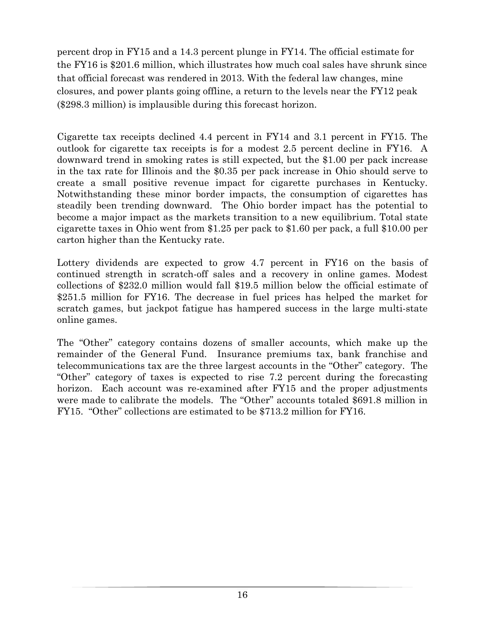percent drop in FY15 and a 14.3 percent plunge in FY14. The official estimate for the FY16 is \$201.6 million, which illustrates how much coal sales have shrunk since that official forecast was rendered in 2013. With the federal law changes, mine closures, and power plants going offline, a return to the levels near the FY12 peak (\$298.3 million) is implausible during this forecast horizon.

Cigarette tax receipts declined 4.4 percent in FY14 and 3.1 percent in FY15. The outlook for cigarette tax receipts is for a modest 2.5 percent decline in FY16. A downward trend in smoking rates is still expected, but the \$1.00 per pack increase in the tax rate for Illinois and the \$0.35 per pack increase in Ohio should serve to create a small positive revenue impact for cigarette purchases in Kentucky. Notwithstanding these minor border impacts, the consumption of cigarettes has steadily been trending downward. The Ohio border impact has the potential to become a major impact as the markets transition to a new equilibrium. Total state cigarette taxes in Ohio went from \$1.25 per pack to \$1.60 per pack, a full \$10.00 per carton higher than the Kentucky rate.

Lottery dividends are expected to grow 4.7 percent in FY16 on the basis of continued strength in scratch-off sales and a recovery in online games. Modest collections of \$232.0 million would fall \$19.5 million below the official estimate of \$251.5 million for FY16. The decrease in fuel prices has helped the market for scratch games, but jackpot fatigue has hampered success in the large multi-state online games.

The "Other" category contains dozens of smaller accounts, which make up the remainder of the General Fund. Insurance premiums tax, bank franchise and telecommunications tax are the three largest accounts in the "Other" category. The "Other" category of taxes is expected to rise 7.2 percent during the forecasting horizon. Each account was re-examined after FY15 and the proper adjustments were made to calibrate the models. The "Other" accounts totaled \$691.8 million in FY15. "Other" collections are estimated to be \$713.2 million for FY16.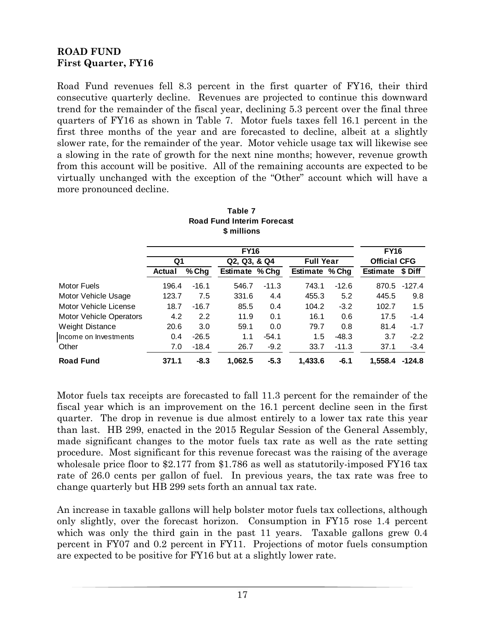### **ROAD FUND First Quarter, FY16**

Road Fund revenues fell 8.3 percent in the first quarter of FY16, their third consecutive quarterly decline. Revenues are projected to continue this downward trend for the remainder of the fiscal year, declining 5.3 percent over the final three quarters of FY16 as shown in Table 7. Motor fuels taxes fell 16.1 percent in the first three months of the year and are forecasted to decline, albeit at a slightly slower rate, for the remainder of the year. Motor vehicle usage tax will likewise see a slowing in the rate of growth for the next nine months; however, revenue growth from this account will be positive. All of the remaining accounts are expected to be virtually unchanged with the exception of the "Other" account which will have a more pronounced decline.

| \$ millions                    |               |         |                       |         |                  |         |                     |          |
|--------------------------------|---------------|---------|-----------------------|---------|------------------|---------|---------------------|----------|
|                                | <b>FY16</b>   |         |                       |         |                  |         |                     |          |
|                                | Q1            |         | Q2, Q3, & Q4          |         | <b>Full Year</b> |         | <b>Official CFG</b> |          |
|                                | <b>Actual</b> | $%$ Chg | <b>Estimate % Chg</b> |         | Estimate % Chg   |         | <b>Estimate</b>     | \$ Diff  |
| Motor Fuels                    | 196.4         | $-16.1$ | 546.7                 | $-11.3$ | 743.1            | $-12.6$ | 870.5               | $-127.4$ |
| Motor Vehicle Usage            | 123.7         | 7.5     | 331.6                 | 4.4     | 455.3            | 5.2     | 445.5               | 9.8      |
| Motor Vehicle License          | 18.7          | $-16.7$ | 85.5                  | 0.4     | 104.2            | $-3.2$  | 102.7               | 1.5      |
| <b>Motor Vehicle Operators</b> | 4.2           | 2.2     | 11.9                  | 0.1     | 16.1             | 0.6     | 17.5                | $-1.4$   |
| Weight Distance                | 20.6          | 3.0     | 59.1                  | 0.0     | 79.7             | 0.8     | 81.4                | $-1.7$   |
| Income on Investments          | 0.4           | $-26.5$ | 1.1                   | $-54.1$ | 1.5              | $-48.3$ | 3.7                 | $-2.2$   |
| Other                          | 7.0           | $-18.4$ | 26.7                  | $-9.2$  | 33.7             | $-11.3$ | 37.1                | $-3.4$   |
| <b>Road Fund</b>               | 371.1         | $-8.3$  | 1.062.5               | $-5.3$  | 1.433.6          | $-6.1$  | 1.558.4             | $-124.8$ |

**Table 7 Road Fund Interim Forecast \$ millions**

Motor fuels tax receipts are forecasted to fall 11.3 percent for the remainder of the fiscal year which is an improvement on the 16.1 percent decline seen in the first quarter. The drop in revenue is due almost entirely to a lower tax rate this year than last. HB 299, enacted in the 2015 Regular Session of the General Assembly, made significant changes to the motor fuels tax rate as well as the rate setting procedure. Most significant for this revenue forecast was the raising of the average wholesale price floor to \$2.177 from \$1.786 as well as statutorily-imposed FY16 tax rate of 26.0 cents per gallon of fuel. In previous years, the tax rate was free to change quarterly but HB 299 sets forth an annual tax rate.

An increase in taxable gallons will help bolster motor fuels tax collections, although only slightly, over the forecast horizon. Consumption in FY15 rose 1.4 percent which was only the third gain in the past 11 years. Taxable gallons grew 0.4 percent in FY07 and 0.2 percent in FY11. Projections of motor fuels consumption are expected to be positive for FY16 but at a slightly lower rate.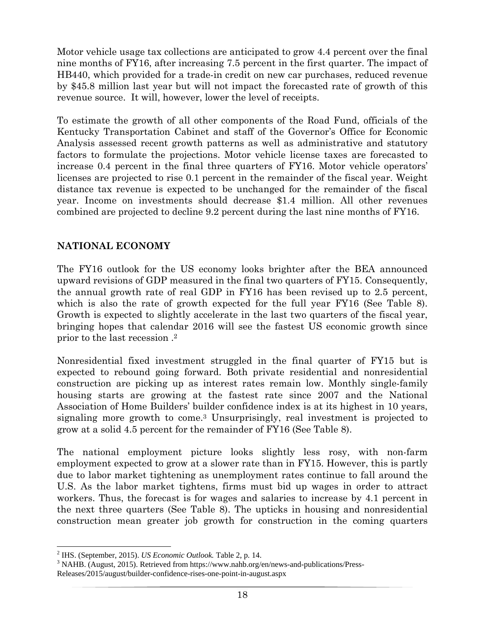Motor vehicle usage tax collections are anticipated to grow 4.4 percent over the final nine months of FY16, after increasing 7.5 percent in the first quarter. The impact of HB440, which provided for a trade-in credit on new car purchases, reduced revenue by \$45.8 million last year but will not impact the forecasted rate of growth of this revenue source. It will, however, lower the level of receipts.

To estimate the growth of all other components of the Road Fund, officials of the Kentucky Transportation Cabinet and staff of the Governor's Office for Economic Analysis assessed recent growth patterns as well as administrative and statutory factors to formulate the projections. Motor vehicle license taxes are forecasted to increase 0.4 percent in the final three quarters of FY16. Motor vehicle operators' licenses are projected to rise 0.1 percent in the remainder of the fiscal year. Weight distance tax revenue is expected to be unchanged for the remainder of the fiscal year. Income on investments should decrease \$1.4 million. All other revenues combined are projected to decline 9.2 percent during the last nine months of FY16.

### **NATIONAL ECONOMY**

The FY16 outlook for the US economy looks brighter after the BEA announced upward revisions of GDP measured in the final two quarters of FY15. Consequently, the annual growth rate of real GDP in FY16 has been revised up to 2.5 percent, which is also the rate of growth expected for the full year FY16 (See Table 8). Growth is expected to slightly accelerate in the last two quarters of the fiscal year, bringing hopes that calendar 2016 will see the fastest US economic growth since prior to the last recession .2

Nonresidential fixed investment struggled in the final quarter of FY15 but is expected to rebound going forward. Both private residential and nonresidential construction are picking up as interest rates remain low. Monthly single-family housing starts are growing at the fastest rate since 2007 and the National Association of Home Builders' builder confidence index is at its highest in 10 years, signaling more growth to come.3 Unsurprisingly, real investment is projected to grow at a solid 4.5 percent for the remainder of FY16 (See Table 8).

The national employment picture looks slightly less rosy, with non-farm employment expected to grow at a slower rate than in FY15. However, this is partly due to labor market tightening as unemployment rates continue to fall around the U.S. As the labor market tightens, firms must bid up wages in order to attract workers. Thus, the forecast is for wages and salaries to increase by 4.1 percent in the next three quarters (See Table 8). The upticks in housing and nonresidential construction mean greater job growth for construction in the coming quarters

<sup>&</sup>lt;sup>2</sup> IHS. (September, 2015). *US Economic Outlook*. Table 2, p. 14.<br><sup>3</sup> NAJID. (August, 2015). Betriessed from https://www.pebb.org/s

<sup>&</sup>lt;sup>3</sup> NAHB. (August, 2015). Retrieved from https://www.nahb.org/en/news-and-publications/Press-Releases/2015/august/builder-confidence-rises-one-point-in-august.aspx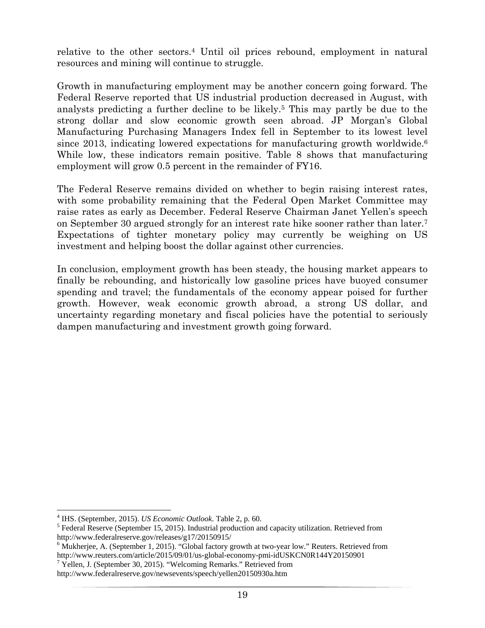relative to the other sectors.4 Until oil prices rebound, employment in natural resources and mining will continue to struggle.

Growth in manufacturing employment may be another concern going forward. The Federal Reserve reported that US industrial production decreased in August, with analysts predicting a further decline to be likely.5 This may partly be due to the strong dollar and slow economic growth seen abroad. JP Morgan's Global Manufacturing Purchasing Managers Index fell in September to its lowest level since 2013, indicating lowered expectations for manufacturing growth worldwide.6 While low, these indicators remain positive. Table 8 shows that manufacturing employment will grow 0.5 percent in the remainder of FY16.

The Federal Reserve remains divided on whether to begin raising interest rates, with some probability remaining that the Federal Open Market Committee may raise rates as early as December. Federal Reserve Chairman Janet Yellen's speech on September 30 argued strongly for an interest rate hike sooner rather than later.7 Expectations of tighter monetary policy may currently be weighing on US investment and helping boost the dollar against other currencies.

In conclusion, employment growth has been steady, the housing market appears to finally be rebounding, and historically low gasoline prices have buoyed consumer spending and travel; the fundamentals of the economy appear poised for further growth. However, weak economic growth abroad, a strong US dollar, and uncertainty regarding monetary and fiscal policies have the potential to seriously dampen manufacturing and investment growth going forward.

<sup>&</sup>lt;sup>4</sup> IHS. (September, 2015). *US Economic Outlook*. Table 2, p. 60.

<sup>&</sup>lt;sup>5</sup> Federal Reserve (September 15, 2015). Industrial production and capacity utilization. Retrieved from http://www.federalreserve.gov/releases/g17/20150915/ 6

 $6$  Mukherjee, A. (September 1, 2015). "Global factory growth at two-year low." Reuters. Retrieved from http://www.reuters.com/article/2015/09/01/us-global-economy-pmi-idUSKCN0R144Y20150901 7

 $\frac{7}{1}$  Yellen, J. (September 30, 2015). "Welcoming Remarks." Retrieved from

http://www.federalreserve.gov/newsevents/speech/yellen20150930a.htm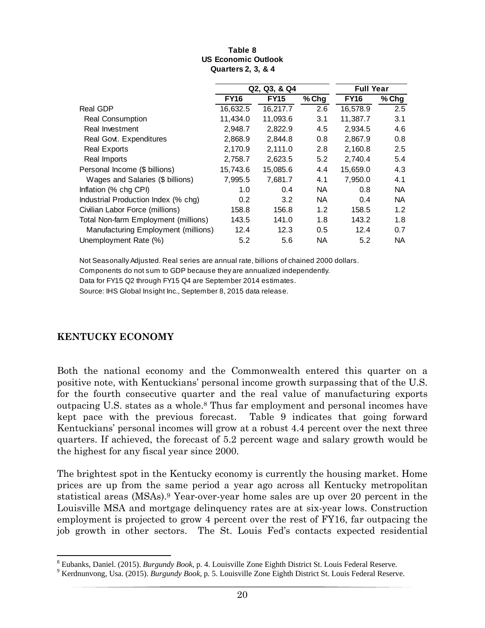|                                      |             | Q2, Q3, & Q4 | <b>Full Year</b> |             |           |
|--------------------------------------|-------------|--------------|------------------|-------------|-----------|
|                                      | <b>FY16</b> | <b>FY15</b>  | $%$ Chg          | <b>FY16</b> | $%$ Chg   |
| <b>Real GDP</b>                      | 16,632.5    | 16,217.7     | 2.6              | 16,578.9    | 2.5       |
| Real Consumption                     | 11,434.0    | 11,093.6     | 3.1              | 11,387.7    | 3.1       |
| Real Investment                      | 2,948.7     | 2,822.9      | 4.5              | 2,934.5     | 4.6       |
| Real Govt. Expenditures              | 2,868.9     | 2,844.8      | 0.8              | 2,867.9     | 0.8       |
| <b>Real Exports</b>                  | 2,170.9     | 2,111.0      | 2.8              | 2,160.8     | 2.5       |
| Real Imports                         | 2,758.7     | 2,623.5      | 5.2              | 2,740.4     | 5.4       |
| Personal Income (\$ billions)        | 15,743.6    | 15,085.6     | 4.4              | 15,659.0    | 4.3       |
| Wages and Salaries (\$ billions)     | 7,995.5     | 7.681.7      | 4.1              | 7,950.0     | 4.1       |
| Inflation (% chg CPI)                | 1.0         | 0.4          | <b>NA</b>        | 0.8         | <b>NA</b> |
| Industrial Production Index (% chg)  | 0.2         | 3.2          | <b>NA</b>        | 0.4         | <b>NA</b> |
| Civilian Labor Force (millions)      | 158.8       | 156.8        | 1.2              | 158.5       | 1.2       |
| Total Non-farm Employment (millions) | 143.5       | 141.0        | 1.8              | 143.2       | 1.8       |
| Manufacturing Employment (millions)  | 12.4        | 12.3         | 0.5              | 12.4        | 0.7       |
| Unemployment Rate (%)                | 5.2         | 5.6          | <b>NA</b>        | 5.2         | <b>NA</b> |

#### **Table 8 US Economic Outlook Quarters 2, 3, & 4**

Not Seasonally Adjusted. Real series are annual rate, billions of chained 2000 dollars.

Components do not sum to GDP because they are annualized independently.

Data for FY15 Q2 through FY15 Q4 are September 2014 estimates.

Source: IHS Global Insight Inc., September 8, 2015 data release.

#### **KENTUCKY ECONOMY**

Both the national economy and the Commonwealth entered this quarter on a positive note, with Kentuckians' personal income growth surpassing that of the U.S. for the fourth consecutive quarter and the real value of manufacturing exports outpacing U.S. states as a whole.8 Thus far employment and personal incomes have kept pace with the previous forecast. Table 9 indicates that going forward Kentuckians' personal incomes will grow at a robust 4.4 percent over the next three quarters. If achieved, the forecast of 5.2 percent wage and salary growth would be the highest for any fiscal year since 2000.

The brightest spot in the Kentucky economy is currently the housing market. Home prices are up from the same period a year ago across all Kentucky metropolitan statistical areas (MSAs).9 Year-over-year home sales are up over 20 percent in the Louisville MSA and mortgage delinquency rates are at six-year lows. Construction employment is projected to grow 4 percent over the rest of FY16, far outpacing the job growth in other sectors. The St. Louis Fed's contacts expected residential

<sup>&</sup>lt;sup>8</sup> Eubanks, Daniel. (2015). *Burgundy Book*, p. 4. Louisville Zone Eighth District St. Louis Federal Reserve.<br><sup>9</sup> Kordnunuong, Use (2015). *Burgundy Book,* p. 5. Louisville Zone Eighth District St. Louis Federal Beserve.

<sup>&</sup>lt;sup>9</sup> Kerdnunvong, Usa. (2015). *Burgundy Book*, p. 5. Louisville Zone Eighth District St. Louis Federal Reserve.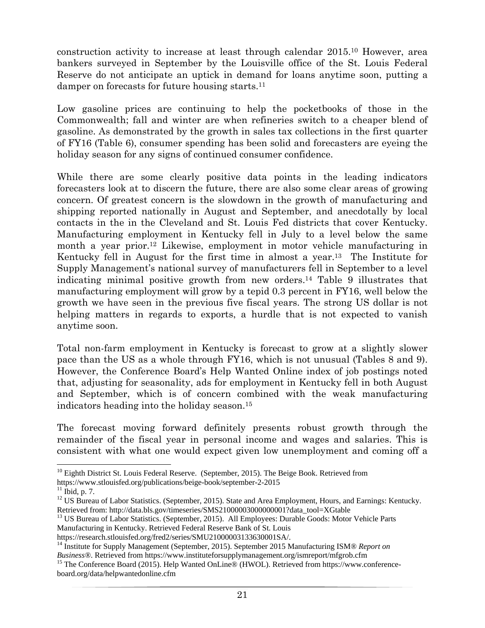construction activity to increase at least through calendar 2015.10 However, area bankers surveyed in September by the Louisville office of the St. Louis Federal Reserve do not anticipate an uptick in demand for loans anytime soon, putting a damper on forecasts for future housing starts.11

Low gasoline prices are continuing to help the pocketbooks of those in the Commonwealth; fall and winter are when refineries switch to a cheaper blend of gasoline. As demonstrated by the growth in sales tax collections in the first quarter of FY16 (Table 6), consumer spending has been solid and forecasters are eyeing the holiday season for any signs of continued consumer confidence.

While there are some clearly positive data points in the leading indicators forecasters look at to discern the future, there are also some clear areas of growing concern. Of greatest concern is the slowdown in the growth of manufacturing and shipping reported nationally in August and September, and anecdotally by local contacts in the in the Cleveland and St. Louis Fed districts that cover Kentucky. Manufacturing employment in Kentucky fell in July to a level below the same month a year prior.12 Likewise, employment in motor vehicle manufacturing in Kentucky fell in August for the first time in almost a year.13 The Institute for Supply Management's national survey of manufacturers fell in September to a level indicating minimal positive growth from new orders.14 Table 9 illustrates that manufacturing employment will grow by a tepid 0.3 percent in FY16, well below the growth we have seen in the previous five fiscal years. The strong US dollar is not helping matters in regards to exports, a hurdle that is not expected to vanish anytime soon.

Total non-farm employment in Kentucky is forecast to grow at a slightly slower pace than the US as a whole through FY16, which is not unusual (Tables 8 and 9). However, the Conference Board's Help Wanted Online index of job postings noted that, adjusting for seasonality, ads for employment in Kentucky fell in both August and September, which is of concern combined with the weak manufacturing indicators heading into the holiday season.15

The forecast moving forward definitely presents robust growth through the remainder of the fiscal year in personal income and wages and salaries. This is consistent with what one would expect given low unemployment and coming off a

 <sup>10</sup> Eighth District St. Louis Federal Reserve. (September, 2015). The Beige Book. Retrieved from

https://www.stlouisfed.org/publications/beige-book/september-2-2015 11 Ibid, p. 7.

<sup>&</sup>lt;sup>12</sup> US Bureau of Labor Statistics. (September, 2015). State and Area Employment, Hours, and Earnings: Kentucky.<br>Retrieved from: http://data.bls.gov/timeseries/SMS21000003000000001?data\_tool=XGtable

<sup>&</sup>lt;sup>13</sup> US Bureau of Labor Statistics. (September, 2015). All Employees: Durable Goods: Motor Vehicle Parts

Manufacturing in Kentucky. Retrieved Federal Reserve Bank of St. Louis<br>https://research.stlouisfed.org/fred2/series/SMU21000003133630001SA/.

<sup>&</sup>lt;sup>14</sup> Institute for Supply Management (September, 2015). September 2015 Manufacturing ISM® *Report on Business*®. Retrieved from https://www.instituteforsupplymanagement.org/ismreport/mfgrob.cfm

<sup>&</sup>lt;sup>15</sup> The Conference Board (2015). Help Wanted OnLine® (HWOL). Retrieved from https://www.conferenceboard.org/data/helpwantedonline.cfm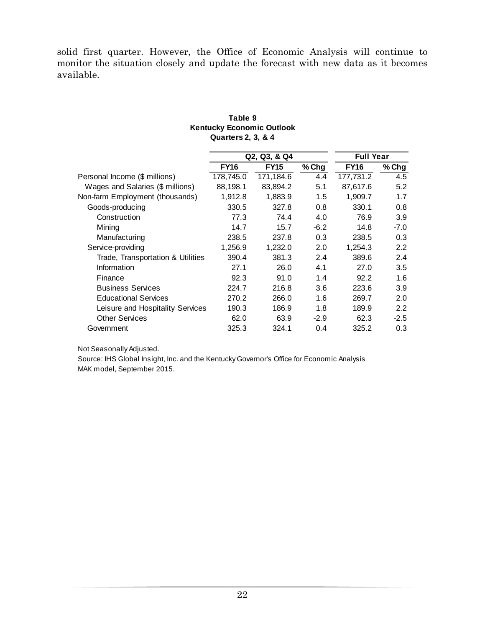solid first quarter. However, the Office of Economic Analysis will continue to monitor the situation closely and update the forecast with new data as it becomes available.

|                                   | .           |              |        |                  |         |
|-----------------------------------|-------------|--------------|--------|------------------|---------|
|                                   |             | Q2, Q3, & Q4 |        | <b>Full Year</b> |         |
|                                   | <b>FY16</b> | <b>FY15</b>  | % Chg  | <b>FY16</b>      | % Chg   |
| Personal Income (\$ millions)     | 178,745.0   | 171,184.6    | 4.4    | 177,731.2        | 4.5     |
| Wages and Salaries (\$ millions)  | 88,198.1    | 83.894.2     | 5.1    | 87,617.6         | 5.2     |
| Non-farm Employment (thousands)   | 1,912.8     | 1,883.9      | 1.5    | 1,909.7          | 1.7     |
| Goods-producing                   | 330.5       | 327.8        | 0.8    | 330.1            | 0.8     |
| Construction                      | 77.3        | 74.4         | 4.0    | 76.9             | 3.9     |
| Mining                            | 14.7        | 15.7         | $-6.2$ | 14.8             | -7.0    |
| Manufacturing                     | 238.5       | 237.8        | 0.3    | 238.5            | 0.3     |
| Service-providing                 | 1,256.9     | 1,232.0      | 2.0    | 1,254.3          | 2.2     |
| Trade, Transportation & Utilities | 390.4       | 381.3        | 2.4    | 389.6            | 2.4     |
| Information                       | 27.1        | 26.0         | 4.1    | 27.0             | 3.5     |
| Finance                           | 92.3        | 91.0         | 1.4    | 92.2             | 1.6     |
| <b>Business Services</b>          | 224.7       | 216.8        | 3.6    | 223.6            | 3.9     |
| <b>Educational Services</b>       | 270.2       | 266.0        | 1.6    | 269.7            | 2.0     |
| Leisure and Hospitality Services  | 190.3       | 186.9        | 1.8    | 189.9            | $2.2\,$ |
| <b>Other Services</b>             | 62.0        | 63.9         | $-2.9$ | 62.3             | $-2.5$  |
| Government                        | 325.3       | 324.1        | 0.4    | 325.2            | 0.3     |

#### **Kentucky Economic Outlook Table 9 Quarters 2, 3, & 4**

Not Seasonally Adjusted.

Source: IHS Global Insight, Inc. and the Kentucky Governor's Office for Economic Analysis MAK model, September 2015.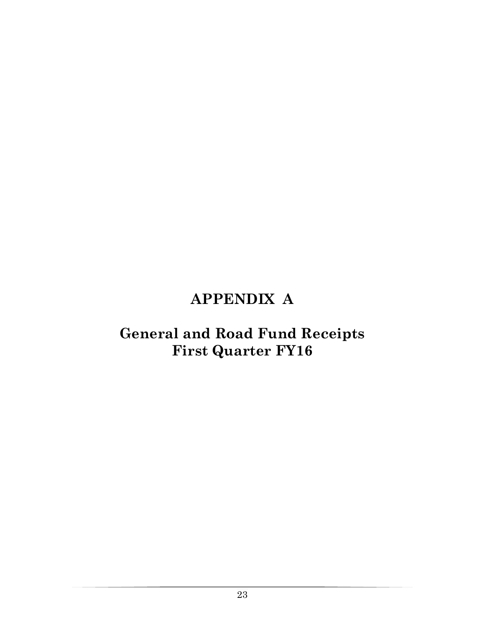## **APPENDIX A**

## **General and Road Fund Receipts First Quarter FY16**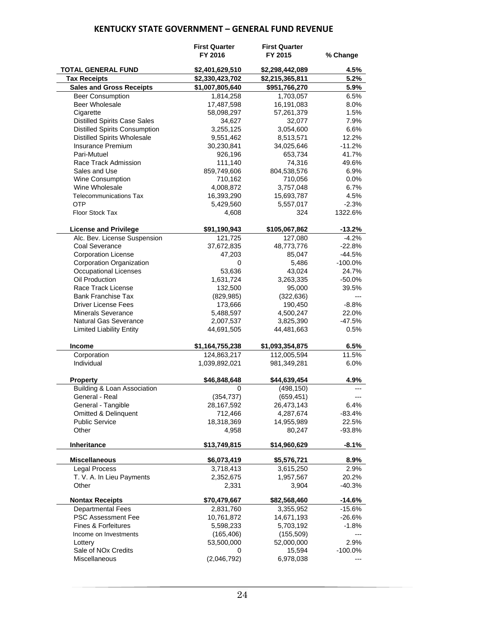#### **KENTUCKY STATE GOVERNMENT – GENERAL FUND REVENUE**

|                                      | <b>First Quarter</b><br>FY 2016 | <b>First Quarter</b><br>FY 2015 | % Change   |
|--------------------------------------|---------------------------------|---------------------------------|------------|
| <b>TOTAL GENERAL FUND</b>            | \$2,401,629,510                 | \$2,298,442,089                 | 4.5%       |
| <b>Tax Receipts</b>                  | \$2,330,423,702                 | \$2,215,365,811                 | 5.2%       |
| <b>Sales and Gross Receipts</b>      | \$1,007,805,640                 | \$951,766,270                   | 5.9%       |
| <b>Beer Consumption</b>              | 1,814,258                       | 1,703,057                       | 6.5%       |
| <b>Beer Wholesale</b>                | 17,487,598                      | 16,191,083                      | 8.0%       |
| Cigarette                            | 58,098,297                      | 57,261,379                      | 1.5%       |
| <b>Distilled Spirits Case Sales</b>  | 34,627                          | 32,077                          | 7.9%       |
| <b>Distilled Spirits Consumption</b> | 3,255,125                       | 3,054,600                       | 6.6%       |
| <b>Distilled Spirits Wholesale</b>   | 9,551,462                       | 8,513,571                       | 12.2%      |
| <b>Insurance Premium</b>             | 30,230,841                      | 34,025,646                      | $-11.2%$   |
| Pari-Mutuel                          | 926,196                         | 653,734                         | 41.7%      |
| Race Track Admission                 | 111,140                         | 74,316                          | 49.6%      |
| Sales and Use                        | 859,749,606                     | 804,538,576                     | 6.9%       |
| Wine Consumption                     | 710,162                         | 710,056                         | 0.0%       |
| Wine Wholesale                       | 4,008,872                       | 3,757,048                       | 6.7%       |
| <b>Telecommunications Tax</b>        | 16,393,290                      | 15,693,787                      | 4.5%       |
| <b>OTP</b>                           | 5,429,560                       | 5,557,017                       | $-2.3%$    |
| Floor Stock Tax                      | 4,608                           | 324                             | 1322.6%    |
| <b>License and Privilege</b>         | \$91,190,943                    | \$105,067,862                   | $-13.2%$   |
| Alc. Bev. License Suspension         | 121,725                         | 127,080                         | $-4.2%$    |
| Coal Severance                       | 37,672,835                      | 48,773,776                      | $-22.8%$   |
| <b>Corporation License</b>           | 47,203                          | 85,047                          | $-44.5%$   |
| Corporation Organization             | 0                               | 5,486                           | $-100.0\%$ |
| Occupational Licenses                | 53,636                          | 43,024                          | 24.7%      |
| Oil Production                       | 1,631,724                       | 3,263,335                       | $-50.0%$   |
| Race Track License                   | 132,500                         | 95,000                          | 39.5%      |
| <b>Bank Franchise Tax</b>            | (829, 985)                      | (322, 636)                      | $---$      |
| <b>Driver License Fees</b>           | 173,666                         | 190,450                         | $-8.8%$    |
| <b>Minerals Severance</b>            | 5,488,597                       | 4,500,247                       | 22.0%      |
| <b>Natural Gas Severance</b>         | 2,007,537                       | 3,825,390                       | $-47.5%$   |
| <b>Limited Liability Entity</b>      | 44,691,505                      | 44,481,663                      | 0.5%       |
| <b>Income</b>                        | \$1,164,755,238                 | \$1,093,354,875                 | 6.5%       |
| Corporation                          | 124,863,217                     | 112,005,594                     | 11.5%      |
| Individual                           | 1,039,892,021                   | 981,349,281                     | 6.0%       |
| <b>Property</b>                      | \$46,848,648                    | \$44,639,454                    | 4.9%       |
| Building & Loan Association          | 0                               | (498, 150)                      |            |
| General - Real                       | (354, 737)                      | (659, 451)                      |            |
| General - Tangible                   | 28,167,592                      | 26,473,143                      | 6.4%       |
| <b>Omitted &amp; Delinquent</b>      | 712,466                         | 4,287,674                       | $-83.4%$   |
| <b>Public Service</b>                | 18,318,369                      | 14,955,989                      | 22.5%      |
| Other                                | 4,958                           | 80,247                          | $-93.8%$   |
| Inheritance                          | \$13,749,815                    | \$14,960,629                    | $-8.1\%$   |
| <b>Miscellaneous</b>                 | \$6,073,419                     | \$5,576,721                     | 8.9%       |
| <b>Legal Process</b>                 | 3,718,413                       | 3,615,250                       | 2.9%       |
| T. V. A. In Lieu Payments            | 2,352,675                       | 1,957,567                       | 20.2%      |
| Other                                | 2,331                           | 3,904                           | $-40.3%$   |
| <b>Nontax Receipts</b>               | \$70,479,667                    | \$82,568,460                    | $-14.6%$   |
| <b>Departmental Fees</b>             | 2,831,760                       | 3,355,952                       | $-15.6%$   |
| <b>PSC Assessment Fee</b>            | 10,761,872                      | 14,671,193                      | -26.6%     |
| <b>Fines &amp; Forfeitures</b>       | 5,598,233                       | 5,703,192                       | -1.8%      |
| Income on Investments                | (165, 406)                      | (155, 509)                      | ---        |
| Lottery                              | 53,500,000                      | 52,000,000                      | 2.9%       |
| Sale of NO <sub>x</sub> Credits      | 0                               | 15,594                          | $-100.0\%$ |
| Miscellaneous                        | (2,046,792)                     | 6,978,038                       | ---        |